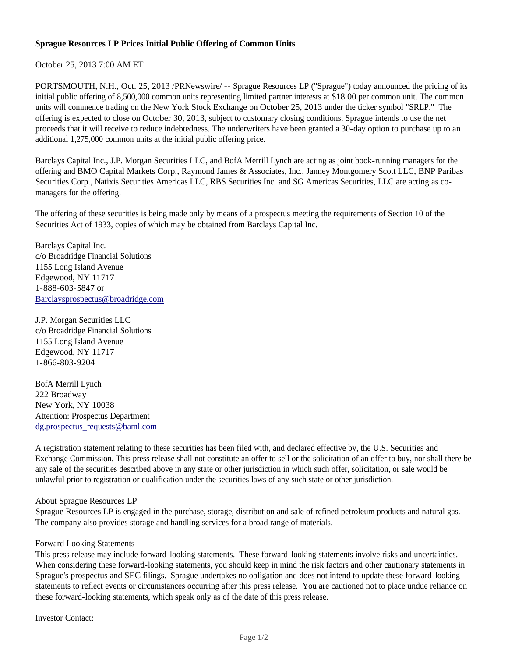## **Sprague Resources LP Prices Initial Public Offering of Common Units**

October 25, 2013 7:00 AM ET

PORTSMOUTH, N.H., Oct. 25, 2013 /PRNewswire/ -- Sprague Resources LP ("Sprague") today announced the pricing of its initial public offering of 8,500,000 common units representing limited partner interests at \$18.00 per common unit. The common units will commence trading on the New York Stock Exchange on October 25, 2013 under the ticker symbol "SRLP." The offering is expected to close on October 30, 2013, subject to customary closing conditions. Sprague intends to use the net proceeds that it will receive to reduce indebtedness. The underwriters have been granted a 30-day option to purchase up to an additional 1,275,000 common units at the initial public offering price.

Barclays Capital Inc., J.P. Morgan Securities LLC, and BofA Merrill Lynch are acting as joint book-running managers for the offering and BMO Capital Markets Corp., Raymond James & Associates, Inc., Janney Montgomery Scott LLC, BNP Paribas Securities Corp., Natixis Securities Americas LLC, RBS Securities Inc. and SG Americas Securities, LLC are acting as comanagers for the offering.

The offering of these securities is being made only by means of a prospectus meeting the requirements of Section 10 of the Securities Act of 1933, copies of which may be obtained from Barclays Capital Inc.

Barclays Capital Inc. c/o Broadridge Financial Solutions 1155 Long Island Avenue Edgewood, NY 11717 1-888-603-5847 or Barclaysprospectus@broadridge.com

J.P. Morgan Securities LLC c/o Broadridge Financial Solutions 1155 Long Island Avenue Edgewood, NY 11717 1-866-803-9204

BofA Merrill Lynch 222 Broadway New York, NY 10038 Attention: Prospectus Department dg.prospectus\_requests@baml.com

A registration statement relating to these securities has been filed with, and declared effective by, the U.S. Securities and Exchange Commission. This press release shall not constitute an offer to sell or the solicitation of an offer to buy, nor shall there be any sale of the securities described above in any state or other jurisdiction in which such offer, solicitation, or sale would be unlawful prior to registration or qualification under the securities laws of any such state or other jurisdiction.

## About Sprague Resources LP

Sprague Resources LP is engaged in the purchase, storage, distribution and sale of refined petroleum products and natural gas. The company also provides storage and handling services for a broad range of materials.

## Forward Looking Statements

This press release may include forward-looking statements. These forward-looking statements involve risks and uncertainties. When considering these forward-looking statements, you should keep in mind the risk factors and other cautionary statements in Sprague's prospectus and SEC filings. Sprague undertakes no obligation and does not intend to update these forward-looking statements to reflect events or circumstances occurring after this press release. You are cautioned not to place undue reliance on these forward-looking statements, which speak only as of the date of this press release.

Investor Contact: